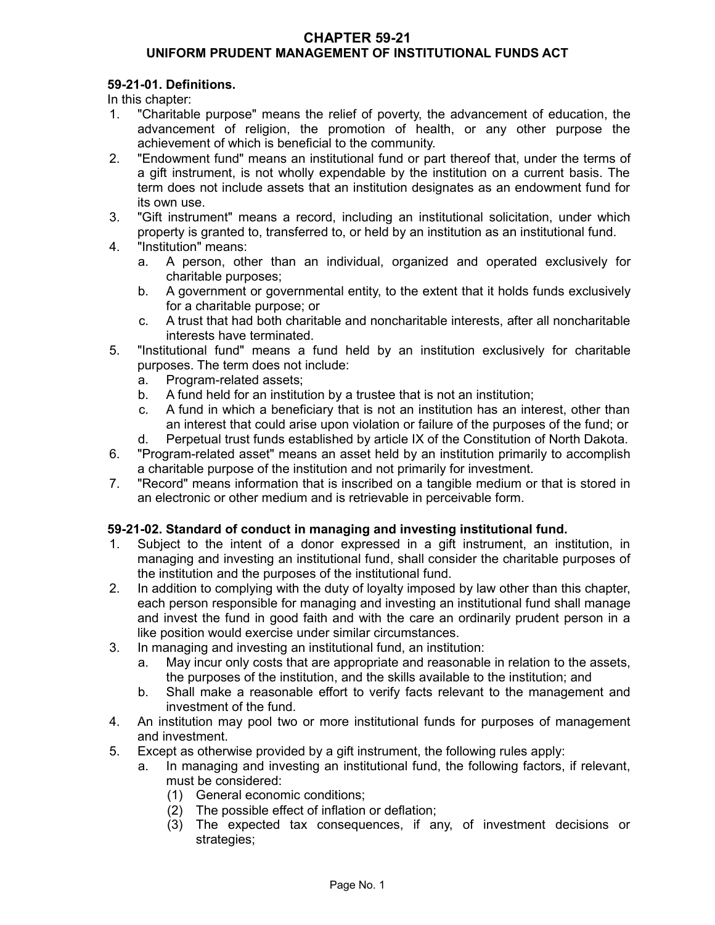### **CHAPTER 59-21 UNIFORM PRUDENT MANAGEMENT OF INSTITUTIONAL FUNDS ACT**

# **59-21-01. Definitions.**

In this chapter:

- 1. "Charitable purpose" means the relief of poverty, the advancement of education, the advancement of religion, the promotion of health, or any other purpose the achievement of which is beneficial to the community.
- 2. "Endowment fund" means an institutional fund or part thereof that, under the terms of a gift instrument, is not wholly expendable by the institution on a current basis. The term does not include assets that an institution designates as an endowment fund for its own use.
- 3. "Gift instrument" means a record, including an institutional solicitation, under which property is granted to, transferred to, or held by an institution as an institutional fund.
- 4. "Institution" means:
	- a. A person, other than an individual, organized and operated exclusively for charitable purposes;
	- b. A government or governmental entity, to the extent that it holds funds exclusively for a charitable purpose; or
	- c. A trust that had both charitable and noncharitable interests, after all noncharitable interests have terminated.
- 5. "Institutional fund" means a fund held by an institution exclusively for charitable purposes. The term does not include:
	- a. Program-related assets;
	- b. A fund held for an institution by a trustee that is not an institution;
	- c. A fund in which a beneficiary that is not an institution has an interest, other than an interest that could arise upon violation or failure of the purposes of the fund; or
	- d. Perpetual trust funds established by article IX of the Constitution of North Dakota.
- 6. "Program-related asset" means an asset held by an institution primarily to accomplish a charitable purpose of the institution and not primarily for investment.
- 7. "Record" means information that is inscribed on a tangible medium or that is stored in an electronic or other medium and is retrievable in perceivable form.

# **59-21-02. Standard of conduct in managing and investing institutional fund.**

- 1. Subject to the intent of a donor expressed in a gift instrument, an institution, in managing and investing an institutional fund, shall consider the charitable purposes of the institution and the purposes of the institutional fund.
- 2. In addition to complying with the duty of loyalty imposed by law other than this chapter, each person responsible for managing and investing an institutional fund shall manage and invest the fund in good faith and with the care an ordinarily prudent person in a like position would exercise under similar circumstances.
- 3. In managing and investing an institutional fund, an institution:
	- a. May incur only costs that are appropriate and reasonable in relation to the assets, the purposes of the institution, and the skills available to the institution; and
	- b. Shall make a reasonable effort to verify facts relevant to the management and investment of the fund.
- 4. An institution may pool two or more institutional funds for purposes of management and investment.
- 5. Except as otherwise provided by a gift instrument, the following rules apply:
	- a. In managing and investing an institutional fund, the following factors, if relevant, must be considered:
		- (1) General economic conditions;
		- (2) The possible effect of inflation or deflation;
		- (3) The expected tax consequences, if any, of investment decisions or strategies;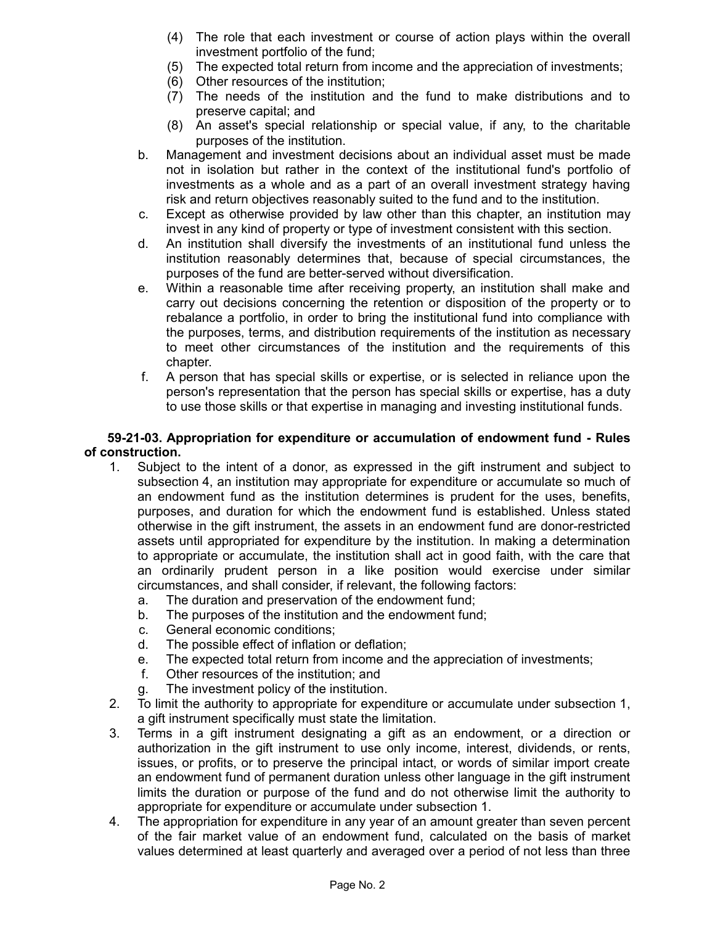- (4) The role that each investment or course of action plays within the overall investment portfolio of the fund;
- (5) The expected total return from income and the appreciation of investments;
- (6) Other resources of the institution;
- (7) The needs of the institution and the fund to make distributions and to preserve capital; and
- (8) An asset's special relationship or special value, if any, to the charitable purposes of the institution.
- b. Management and investment decisions about an individual asset must be made not in isolation but rather in the context of the institutional fund's portfolio of investments as a whole and as a part of an overall investment strategy having risk and return objectives reasonably suited to the fund and to the institution.
- c. Except as otherwise provided by law other than this chapter, an institution may invest in any kind of property or type of investment consistent with this section.
- d. An institution shall diversify the investments of an institutional fund unless the institution reasonably determines that, because of special circumstances, the purposes of the fund are better-served without diversification.
- e. Within a reasonable time after receiving property, an institution shall make and carry out decisions concerning the retention or disposition of the property or to rebalance a portfolio, in order to bring the institutional fund into compliance with the purposes, terms, and distribution requirements of the institution as necessary to meet other circumstances of the institution and the requirements of this chapter.
- f. A person that has special skills or expertise, or is selected in reliance upon the person's representation that the person has special skills or expertise, has a duty to use those skills or that expertise in managing and investing institutional funds.

### **59-21-03. Appropriation for expenditure or accumulation of endowment fund - Rules of construction.**

- 1. Subject to the intent of a donor, as expressed in the gift instrument and subject to subsection 4, an institution may appropriate for expenditure or accumulate so much of an endowment fund as the institution determines is prudent for the uses, benefits, purposes, and duration for which the endowment fund is established. Unless stated otherwise in the gift instrument, the assets in an endowment fund are donor-restricted assets until appropriated for expenditure by the institution. In making a determination to appropriate or accumulate, the institution shall act in good faith, with the care that an ordinarily prudent person in a like position would exercise under similar circumstances, and shall consider, if relevant, the following factors:
	- a. The duration and preservation of the endowment fund;
	- b. The purposes of the institution and the endowment fund;
	- c. General economic conditions;
	- d. The possible effect of inflation or deflation;
	- e. The expected total return from income and the appreciation of investments;
	- f. Other resources of the institution; and
	- g. The investment policy of the institution.
- 2. To limit the authority to appropriate for expenditure or accumulate under subsection 1, a gift instrument specifically must state the limitation.
- 3. Terms in a gift instrument designating a gift as an endowment, or a direction or authorization in the gift instrument to use only income, interest, dividends, or rents, issues, or profits, or to preserve the principal intact, or words of similar import create an endowment fund of permanent duration unless other language in the gift instrument limits the duration or purpose of the fund and do not otherwise limit the authority to appropriate for expenditure or accumulate under subsection 1.
- 4. The appropriation for expenditure in any year of an amount greater than seven percent of the fair market value of an endowment fund, calculated on the basis of market values determined at least quarterly and averaged over a period of not less than three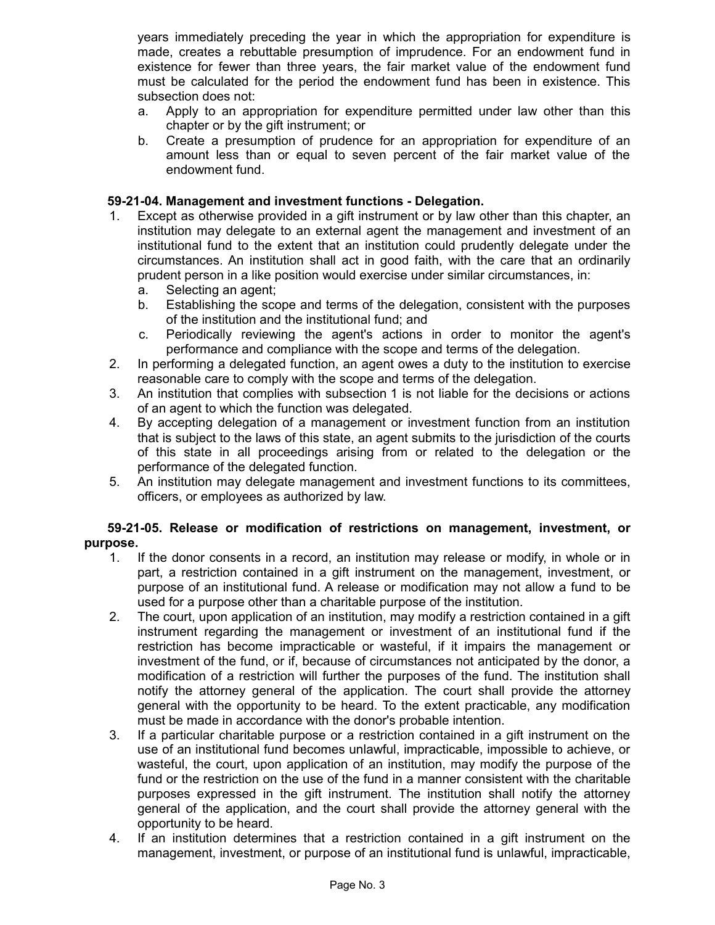years immediately preceding the year in which the appropriation for expenditure is made, creates a rebuttable presumption of imprudence. For an endowment fund in existence for fewer than three years, the fair market value of the endowment fund must be calculated for the period the endowment fund has been in existence. This subsection does not:

- a. Apply to an appropriation for expenditure permitted under law other than this chapter or by the gift instrument; or
- b. Create a presumption of prudence for an appropriation for expenditure of an amount less than or equal to seven percent of the fair market value of the endowment fund.

### **59-21-04. Management and investment functions - Delegation.**

- 1. Except as otherwise provided in a gift instrument or by law other than this chapter, an institution may delegate to an external agent the management and investment of an institutional fund to the extent that an institution could prudently delegate under the circumstances. An institution shall act in good faith, with the care that an ordinarily prudent person in a like position would exercise under similar circumstances, in:
	- a. Selecting an agent;
	- b. Establishing the scope and terms of the delegation, consistent with the purposes of the institution and the institutional fund; and
	- c. Periodically reviewing the agent's actions in order to monitor the agent's performance and compliance with the scope and terms of the delegation.
- 2. In performing a delegated function, an agent owes a duty to the institution to exercise reasonable care to comply with the scope and terms of the delegation.
- 3. An institution that complies with subsection 1 is not liable for the decisions or actions of an agent to which the function was delegated.
- 4. By accepting delegation of a management or investment function from an institution that is subject to the laws of this state, an agent submits to the jurisdiction of the courts of this state in all proceedings arising from or related to the delegation or the performance of the delegated function.
- 5. An institution may delegate management and investment functions to its committees, officers, or employees as authorized by law.

# **59-21-05. Release or modification of restrictions on management, investment, or purpose.**

- 1. If the donor consents in a record, an institution may release or modify, in whole or in part, a restriction contained in a gift instrument on the management, investment, or purpose of an institutional fund. A release or modification may not allow a fund to be used for a purpose other than a charitable purpose of the institution.
- 2. The court, upon application of an institution, may modify a restriction contained in a gift instrument regarding the management or investment of an institutional fund if the restriction has become impracticable or wasteful, if it impairs the management or investment of the fund, or if, because of circumstances not anticipated by the donor, a modification of a restriction will further the purposes of the fund. The institution shall notify the attorney general of the application. The court shall provide the attorney general with the opportunity to be heard. To the extent practicable, any modification must be made in accordance with the donor's probable intention.
- 3. If a particular charitable purpose or a restriction contained in a gift instrument on the use of an institutional fund becomes unlawful, impracticable, impossible to achieve, or wasteful, the court, upon application of an institution, may modify the purpose of the fund or the restriction on the use of the fund in a manner consistent with the charitable purposes expressed in the gift instrument. The institution shall notify the attorney general of the application, and the court shall provide the attorney general with the opportunity to be heard.
- 4. If an institution determines that a restriction contained in a gift instrument on the management, investment, or purpose of an institutional fund is unlawful, impracticable,